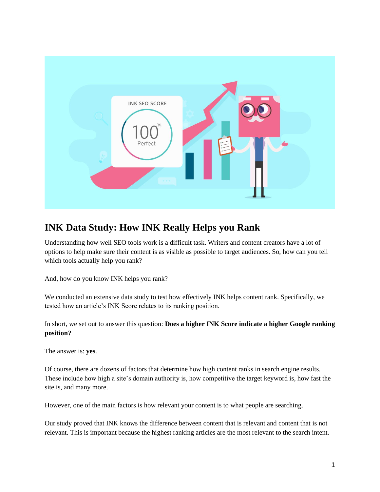

# **INK Data Study: How INK Really Helps you Rank**

Understanding how well SEO tools work is a difficult task. Writers and content creators have a lot of options to help make sure their content is as visible as possible to target audiences. So, how can you tell which tools actually help you rank?

And, how do you know INK helps you rank?

We conducted an extensive data study to test how effectively INK helps content rank. Specifically, we tested how an article's INK Score relates to its ranking position.

In short, we set out to answer this question: **Does a higher INK Score indicate a higher Google ranking position?**

The answer is: **yes**.

Of course, there are dozens of factors that determine how high content ranks in search engine results. These include how high a site's domain authority is, how competitive the target keyword is, how fast the site is, and many more.

However, one of the main factors is how relevant your content is to what people are searching.

Our study proved that INK knows the difference between content that is relevant and content that is not relevant. This is important because the highest ranking articles are the most relevant to the search intent.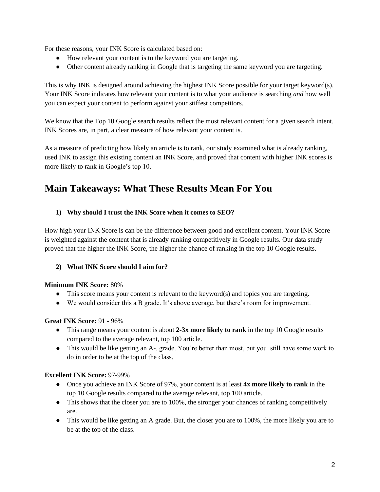For these reasons, your INK Score is calculated based on:

- How relevant your content is to the keyword you are targeting.
- Other content already ranking in Google that is targeting the same keyword you are targeting.

This is why INK is designed around achieving the highest INK Score possible for your target keyword(s). Your INK Score indicates how relevant your content is to what your audience is searching *and* how well you can expect your content to perform against your stiffest competitors.

We know that the Top 10 Google search results reflect the most relevant content for a given search intent. INK Scores are, in part, a clear measure of how relevant your content is.

As a measure of predicting how likely an article is to rank, our study examined what is already ranking, used INK to assign this existing content an INK Score, and proved that content with higher INK scores is more likely to rank in Google's top 10.

## **Main Takeaways: What These Results Mean For You**

#### **1) Why should I trust the INK Score when it comes to SEO?**

How high your INK Score is can be the difference between good and excellent content. Your INK Score is weighted against the content that is already ranking competitively in Google results. Our data study proved that the higher the INK Score, the higher the chance of ranking in the top 10 Google results.

#### **2) What INK Score should I aim for?**

#### **Minimum INK Score:** 80%

- This score means your content is relevant to the keyword(s) and topics you are targeting.
- We would consider this a B grade. It's above average, but there's room for improvement.

#### **Great INK Score:** 91 - 96%

- This range means your content is about 2-3x more likely to rank in the top 10 Google results compared to the average relevant, top 100 article.
- This would be like getting an A-. grade. You're better than most, but you still have some work to do in order to be at the top of the class.

#### **Excellent INK Score:** 97-99%

- Once you achieve an INK Score of 97%, your content is at least **4x more likely to rank** in the top 10 Google results compared to the average relevant, top 100 article.
- This shows that the closer you are to 100%, the stronger your chances of ranking competitively are.
- This would be like getting an A grade. But, the closer you are to 100%, the more likely you are to be at the top of the class.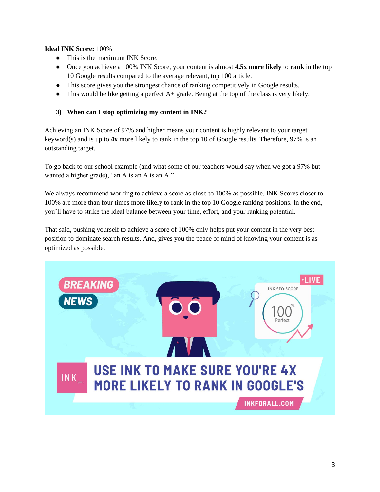#### **Ideal INK Score:** 100%

- This is the maximum INK Score.
- Once you achieve a 100% INK Score, your content is almost **4.5x more likely** to **rank** in the top 10 Google results compared to the average relevant, top 100 article.
- This score gives you the strongest chance of ranking competitively in Google results.
- $\bullet$  This would be like getting a perfect A+ grade. Being at the top of the class is very likely.

#### **3) When can I stop optimizing my content in INK?**

Achieving an INK Score of 97% and higher means your content is highly relevant to your target keyword(s) and is up to **4x** more likely to rank in the top 10 of Google results. Therefore, 97% is an outstanding target.

To go back to our school example (and what some of our teachers would say when we got a 97% but wanted a higher grade), "an A is an A is an A."

We always recommend working to achieve a score as close to 100% as possible. INK Scores closer to 100% are more than four times more likely to rank in the top 10 Google ranking positions. In the end, you'll have to strike the ideal balance between your time, effort, and your ranking potential.

That said, pushing yourself to achieve a score of 100% only helps put your content in the very best position to dominate search results. And, gives you the peace of mind of knowing your content is as optimized as possible.

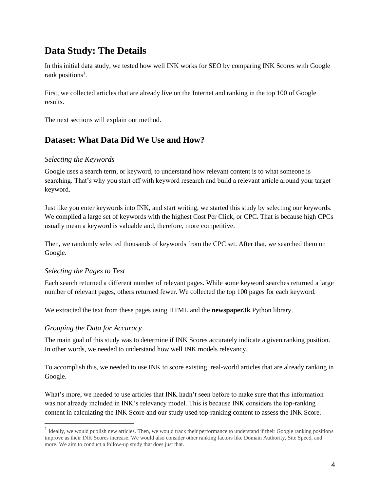# **Data Study: The Details**

In this initial data study, we tested how well INK works for SEO by comparing INK Scores with Google rank positions<sup>1</sup>.

First, we collected articles that are already live on the Internet and ranking in the top 100 of Google results.

The next sections will explain our method.

### **Dataset: What Data Did We Use and How?**

#### *Selecting the Keywords*

Google uses a search term, or keyword, to understand how relevant content is to what someone is searching. That's why you start off with keyword research and build a relevant article around your target keyword.

Just like you enter keywords into INK, and start writing, we started this study by selecting our keywords. We compiled a large set of keywords with the highest Cost Per Click, or CPC. That is because high CPCs usually mean a keyword is valuable and, therefore, more competitive.

Then, we randomly selected thousands of keywords from the CPC set. After that, we searched them on Google.

#### *Selecting the Pages to Test*

Each search returned a different number of relevant pages. While some keyword searches returned a large number of relevant pages, others returned fewer. We collected the top 100 pages for each keyword.

We extracted the text from these pages using HTML and the **newspaper3k** Python library.

#### *Grouping the Data for Accuracy*

The main goal of this study was to determine if INK Scores accurately indicate a given ranking position. In other words, we needed to understand how well INK models relevancy.

To accomplish this, we needed to use INK to score existing, real-world articles that are already ranking in Google.

What's more, we needed to use articles that INK hadn't seen before to make sure that this information was not already included in INK's relevancy model. This is because INK considers the top-ranking content in calculating the INK Score and our study used top-ranking content to assess the INK Score.

<sup>&</sup>lt;sup>1</sup> Ideally, we would publish new articles. Then, we would track their performance to understand if their Google ranking positions improve as their INK Scores increase. We would also consider other ranking factors like Domain Authority, Site Speed, and more. We aim to conduct a follow-up study that does just that.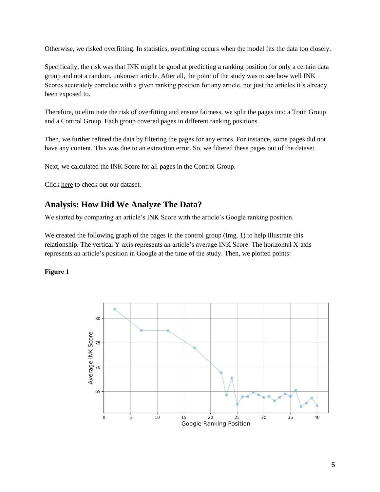Otherwise, we risked overfitting. In statistics, overfitting occurs when the model fits the data too closely.

Specifically, the risk was that INK might be good at predicting a ranking position for only a certain data group and not a random, unknown article. After all, the point of the study was to see how well INK Scores accurately correlate with a given ranking position for any article, not just the articles it's already been exposed to.

Therefore, to eliminate the risk of overfitting and ensure fairness, we split the pages into a Train Group and a Control Group. Each group covered pages in different ranking positions.

Then, we further refined the data by filtering the pages for any errors. For instance, some pages did not have any content. This was due to an extraction error. So, we filtered these pages out of the dataset.

Next, we calculated the INK Score for all pages in the Control Group.

Click [here](https://drive.google.com/open?id=1SmuCBMcGy2asJ6oWkVMRMdfnMCe9jG17) to check out our dataset.

### **Analysis: How Did We Analyze The Data?**

We started by comparing an article's INK Score with the article's Google ranking position.

We created the following graph of the pages in the control group (Img. 1) to help illustrate this relationship. The vertical Y-axis represents an article's average INK Score. The horizontal X-axis represents an article's position in Google at the time of the study. Then, we plotted points:

#### **Figure 1**

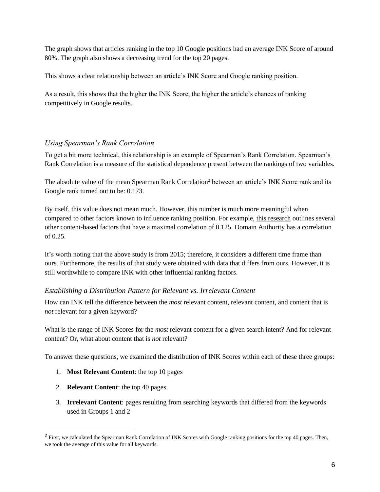The graph shows that articles ranking in the top 10 Google positions had an average INK Score of around 80%. The graph also shows a decreasing trend for the top 20 pages.

This shows a clear relationship between an article's INK Score and Google ranking position.

As a result, this shows that the higher the INK Score, the higher the article's chances of ranking competitively in Google results.

#### *Using Spearman's Rank Correlation*

To get a bit more technical, this relationship is an example of Spearman's Rank Correlation. [Spearman's](http://sites.utexas.edu/sos/guided/inferential/numeric/bivariate/rankcor/)  [Rank Correlation](http://sites.utexas.edu/sos/guided/inferential/numeric/bivariate/rankcor/) is a measure of the statistical dependence present between the rankings of two variables.

The absolute value of the mean Spearman Rank Correlation<sup>2</sup> between an article's INK Score rank and its Google rank turned out to be: 0.173.

By itself, this value does not mean much. However, this number is much more meaningful when compared to other factors known to influence ranking position. For example, [this research](https://moz.com/search-ranking-factors/correlations) outlines several other content-based factors that have a maximal correlation of 0.125. Domain Authority has a correlation of 0.25.

It's worth noting that the above study is from 2015; therefore, it considers a different time frame than ours. Furthermore, the results of that study were obtained with data that differs from ours. However, it is still worthwhile to compare INK with other influential ranking factors.

#### *Establishing a Distribution Pattern for Relevant vs. Irrelevant Content*

How can INK tell the difference between the *most* relevant content, relevant content, and content that is *not* relevant for a given keyword?

What is the range of INK Scores for the *most* relevant content for a given search intent? And for relevant content? Or, what about content that is *not* relevant?

To answer these questions, we examined the distribution of INK Scores within each of these three groups:

- 1. **Most Relevant Content**: the top 10 pages
- 2. **Relevant Content**: the top 40 pages
- 3. **Irrelevant Content**: pages resulting from searching keywords that differed from the keywords used in Groups 1 and 2

<sup>&</sup>lt;sup>2</sup> First, we calculated the Spearman Rank Correlation of INK Scores with Google ranking positions for the top 40 pages. Then, we took the average of this value for all keywords.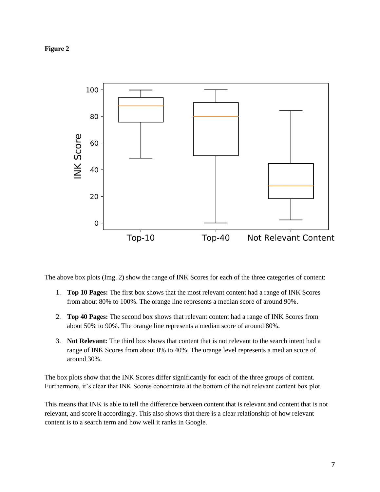#### **Figure 2**



The above box plots (Img. 2) show the range of INK Scores for each of the three categories of content:

- 1. **Top 10 Pages:** The first box shows that the most relevant content had a range of INK Scores from about 80% to 100%. The orange line represents a median score of around 90%.
- 2. **Top 40 Pages:** The second box shows that relevant content had a range of INK Scores from about 50% to 90%. The orange line represents a median score of around 80%.
- 3. **Not Relevant:** The third box shows that content that is not relevant to the search intent had a range of INK Scores from about 0% to 40%. The orange level represents a median score of around 30%.

The box plots show that the INK Scores differ significantly for each of the three groups of content. Furthermore, it's clear that INK Scores concentrate at the bottom of the not relevant content box plot.

This means that INK is able to tell the difference between content that is relevant and content that is not relevant, and score it accordingly. This also shows that there is a clear relationship of how relevant content is to a search term and how well it ranks in Google.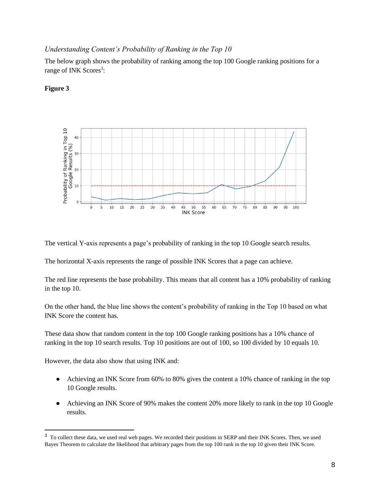#### *Understanding Content's Probability of Ranking in the Top 10*

The below graph shows the probability of ranking among the top 100 Google ranking positions for a range of INK Scores<sup>3</sup>:



#### **Figure 3**

The vertical Y-axis represents a page's probability of ranking in the top 10 Google search results.

The horizontal X-axis represents the range of possible INK Scores that a page can achieve.

The red line represents the base probability. This means that all content has a 10% probability of ranking in the top 10.

On the other hand, the blue line shows the content's probability of ranking in the Top 10 based on what INK Score the content has.

These data show that random content in the top 100 Google ranking positions has a 10% chance of ranking in the top 10 search results. Top 10 positions are out of 100, so 100 divided by 10 equals 10.

However, the data also show that using INK and:

- Achieving an INK Score from 60% to 80% gives the content a 10% chance of ranking in the top 10 Google results.
- Achieving an INK Score of 90% makes the content 20% more likely to rank in the top 10 Google results.

<sup>&</sup>lt;sup>3</sup> To collect these data, we used real web pages. We recorded their positions in SERP and their INK Scores. Then, we used Bayes Theorem to calculate the likelihood that arbitrary pages from the top 100 rank in the top 10 given their INK Score.